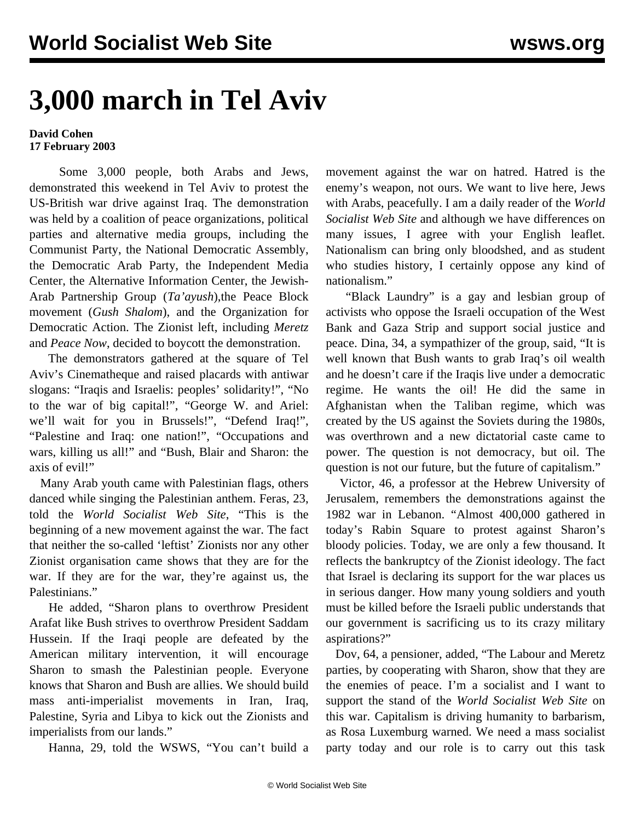## **3,000 march in Tel Aviv**

## **David Cohen 17 February 2003**

 Some 3,000 people, both Arabs and Jews, demonstrated this weekend in Tel Aviv to protest the US-British war drive against Iraq. The demonstration was held by a coalition of peace organizations, political parties and alternative media groups, including the Communist Party, the National Democratic Assembly, the Democratic Arab Party, the Independent Media Center, the Alternative Information Center, the Jewish-Arab Partnership Group (*Ta'ayush*),the Peace Block movement (*Gush Shalom*), and the Organization for Democratic Action. The Zionist left, including *Meretz* and *Peace Now*, decided to boycott the demonstration.

 The demonstrators gathered at the square of Tel Aviv's Cinematheque and raised placards with antiwar slogans: "Iraqis and Israelis: peoples' solidarity!", "No to the war of big capital!", "George W. and Ariel: we'll wait for you in Brussels!", "Defend Iraq!", "Palestine and Iraq: one nation!", "Occupations and wars, killing us all!" and "Bush, Blair and Sharon: the axis of evil!"

 Many Arab youth came with Palestinian flags, others danced while singing the Palestinian anthem. Feras, 23, told the *World Socialist Web Site*, "This is the beginning of a new movement against the war. The fact that neither the so-called 'leftist' Zionists nor any other Zionist organisation came shows that they are for the war. If they are for the war, they're against us, the Palestinians."

 He added, "Sharon plans to overthrow President Arafat like Bush strives to overthrow President Saddam Hussein. If the Iraqi people are defeated by the American military intervention, it will encourage Sharon to smash the Palestinian people. Everyone knows that Sharon and Bush are allies. We should build mass anti-imperialist movements in Iran, Iraq, Palestine, Syria and Libya to kick out the Zionists and imperialists from our lands."

Hanna, 29, told the WSWS, "You can't build a

movement against the war on hatred. Hatred is the enemy's weapon, not ours. We want to live here, Jews with Arabs, peacefully. I am a daily reader of the *World Socialist Web Site* and although we have differences on many issues, I agree with your English leaflet. Nationalism can bring only bloodshed, and as student who studies history, I certainly oppose any kind of nationalism."

 "Black Laundry" is a gay and lesbian group of activists who oppose the Israeli occupation of the West Bank and Gaza Strip and support social justice and peace. Dina, 34, a sympathizer of the group, said, "It is well known that Bush wants to grab Iraq's oil wealth and he doesn't care if the Iraqis live under a democratic regime. He wants the oil! He did the same in Afghanistan when the Taliban regime, which was created by the US against the Soviets during the 1980s, was overthrown and a new dictatorial caste came to power. The question is not democracy, but oil. The question is not our future, but the future of capitalism."

 Victor, 46, a professor at the Hebrew University of Jerusalem, remembers the demonstrations against the 1982 war in Lebanon. "Almost 400,000 gathered in today's Rabin Square to protest against Sharon's bloody policies. Today, we are only a few thousand. It reflects the bankruptcy of the Zionist ideology. The fact that Israel is declaring its support for the war places us in serious danger. How many young soldiers and youth must be killed before the Israeli public understands that our government is sacrificing us to its crazy military aspirations?"

 Dov, 64, a pensioner, added, "The Labour and Meretz parties, by cooperating with Sharon, show that they are the enemies of peace. I'm a socialist and I want to support the stand of the *World Socialist Web Site* on this war. Capitalism is driving humanity to barbarism, as Rosa Luxemburg warned. We need a mass socialist party today and our role is to carry out this task